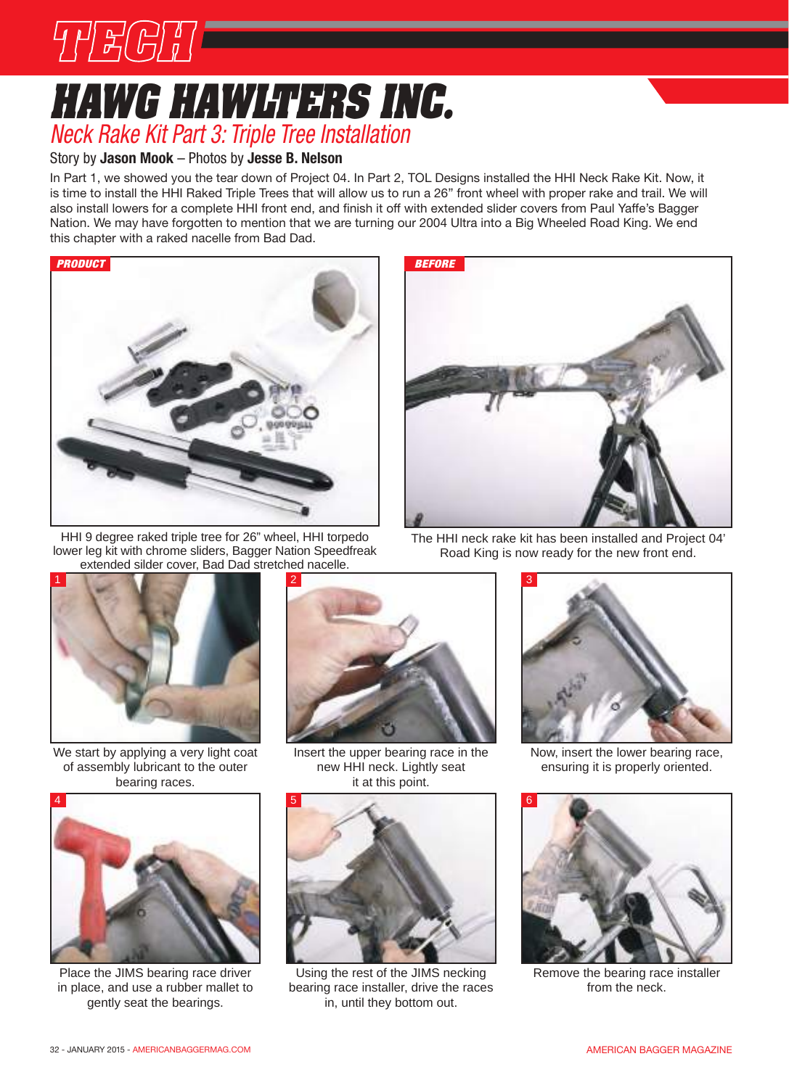

### **hawg hawlters inc.** *neck rake Kit Part 3: Triple Tree Installation*

#### Story by **Jason Mook** – Photos by **Jesse B. Nelson**

In Part 1, we showed you the tear down of Project 04. In Part 2, TOL Designs installed the HHI Neck Rake Kit. Now, it is time to install the HHI Raked Triple Trees that will allow us to run a 26" front wheel with proper rake and trail. We will also install lowers for a complete HHI front end, and finish it off with extended slider covers from Paul Yaffe's Bagger Nation. We may have forgotten to mention that we are turning our 2004 Ultra into a Big Wheeled Road King. We end this chapter with a raked nacelle from Bad Dad.



HHI 9 degree raked triple tree for 26" wheel, HHI torpedo lower leg kit with chrome sliders, Bagger Nation Speedfreak extended silder cover, Bad Dad stretched nacelle.



The HHI neck rake kit has been installed and Project 04' Road King is now ready for the new front end.



We start by applying a very light coat of assembly lubricant to the outer bearing races.



Place the JIMS bearing race driver in place, and use a rubber mallet to gently seat the bearings.



Insert the upper bearing race in the new HHI neck. Lightly seat it at this point.



Using the rest of the JIMS necking bearing race installer, drive the races in, until they bottom out.



Now, insert the lower bearing race, ensuring it is properly oriented.



Remove the bearing race installer from the neck.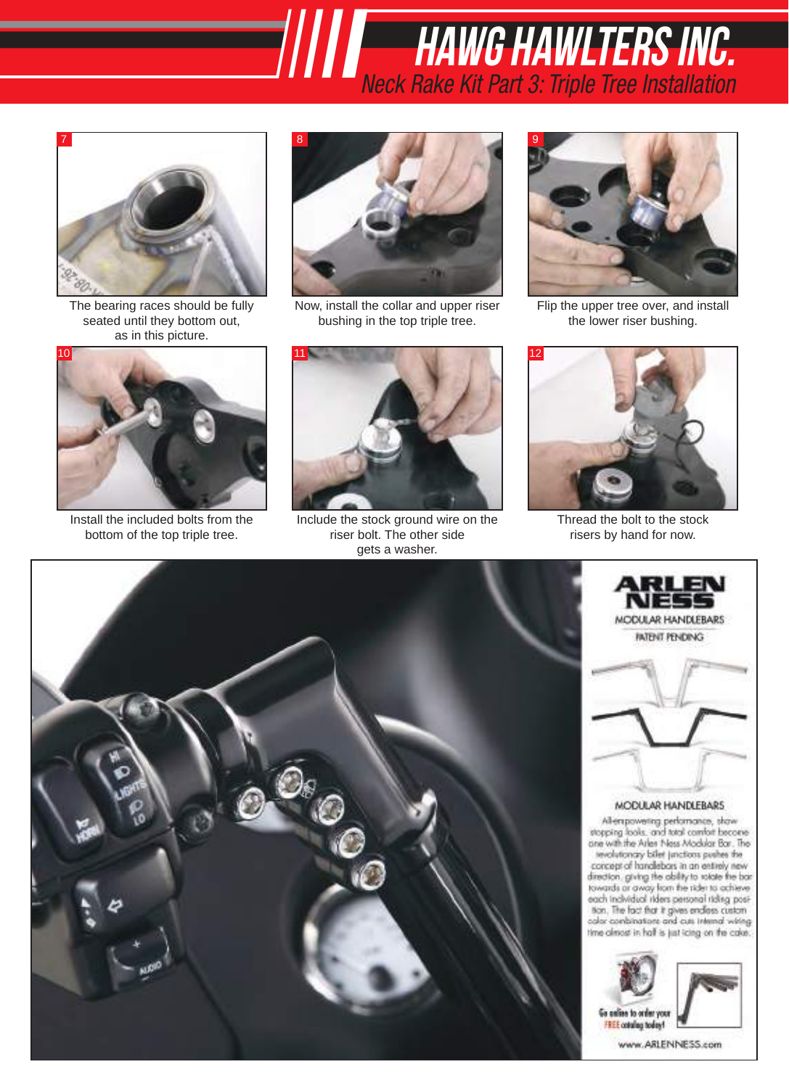# *X-23 BOLT On Trees IIIII* hawg hawlters inc. *neck rake Kit Part 3: Triple Tree Installation*



The bearing races should be fully seated until they bottom out, as in this picture.



Install the included bolts from the bottom of the top triple tree.



Now, install the collar and upper riser bushing in the top triple tree.



Include the stock ground wire on the riser bolt. The other side gets a washer.



Flip the upper tree over, and install the lower riser bushing.



Thread the bolt to the stock risers by hand for now.

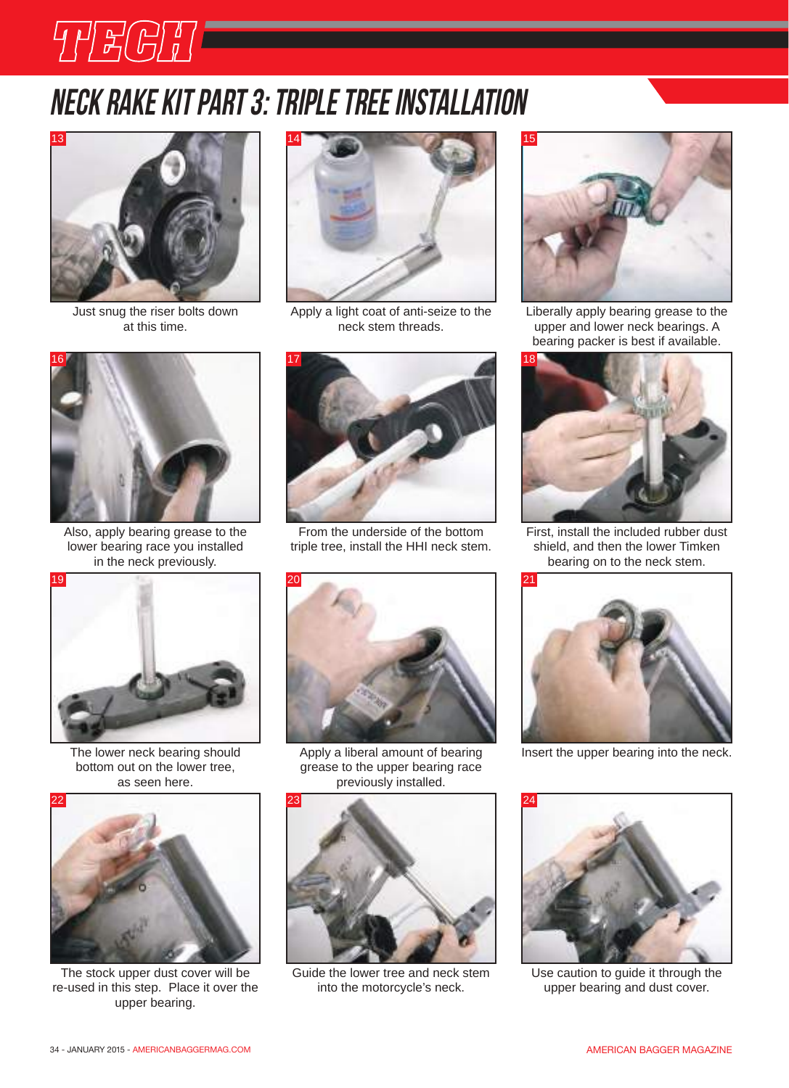# THECH COM

## Neck rake kit part 3: triple tree installation



Just snug the riser bolts down at this time.



Apply a light coat of anti-seize to the neck stem threads.



Also, apply bearing grease to the lower bearing race you installed in the neck previously.



The lower neck bearing should bottom out on the lower tree, as seen here.



The stock upper dust cover will be re-used in this step. Place it over the upper bearing.



From the underside of the bottom triple tree, install the HHI neck stem.



Apply a liberal amount of bearing grease to the upper bearing race previously installed.



Guide the lower tree and neck stem into the motorcycle's neck.



Liberally apply bearing grease to the upper and lower neck bearings. A bearing packer is best if available.



First, install the included rubber dust shield, and then the lower Timken bearing on to the neck stem.



Insert the upper bearing into the neck.



Use caution to guide it through the upper bearing and dust cover.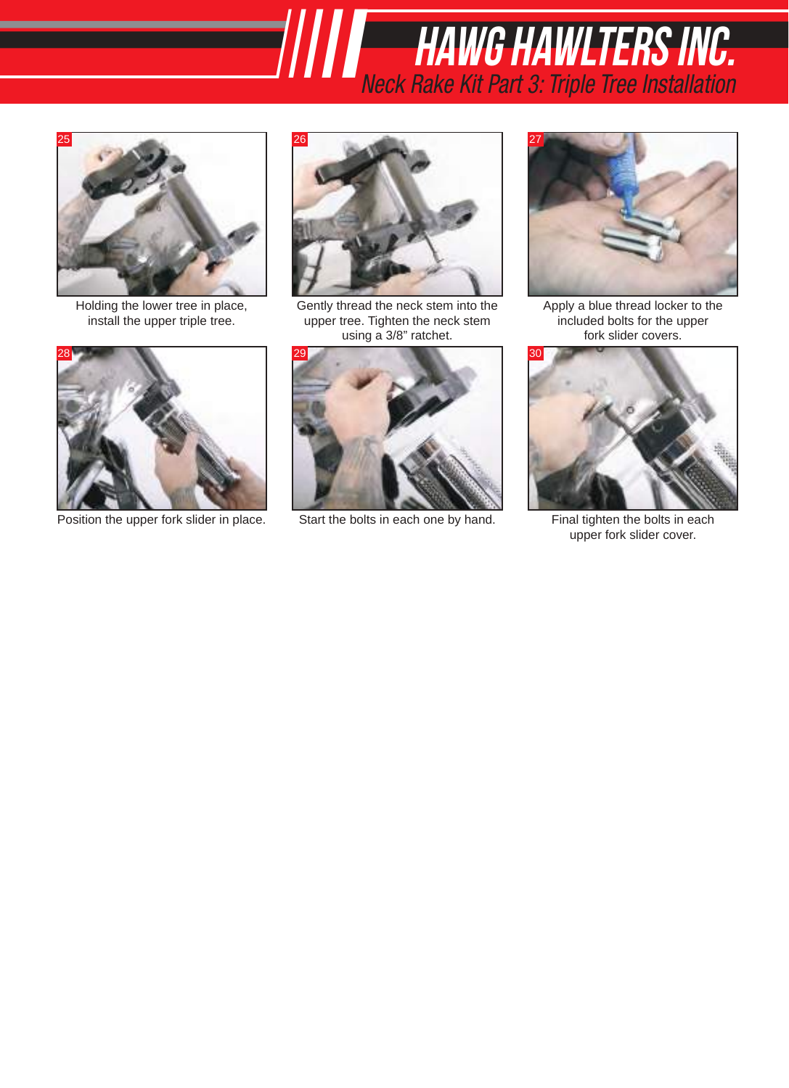Holding the lower tree in place, install the upper triple tree.



Position the upper fork slider in place. Start the bolts in each one by hand. Final tighten the bolts in each



*X-23 BOLT On Trees IIIII* hawg hawlters inc.

*neck rake Kit Part 3: Triple Tree Installation*

Gently thread the neck stem into the upper tree. Tighten the neck stem using a 3/8" ratchet.





Apply a blue thread locker to the included bolts for the upper fork slider covers.



upper fork slider cover.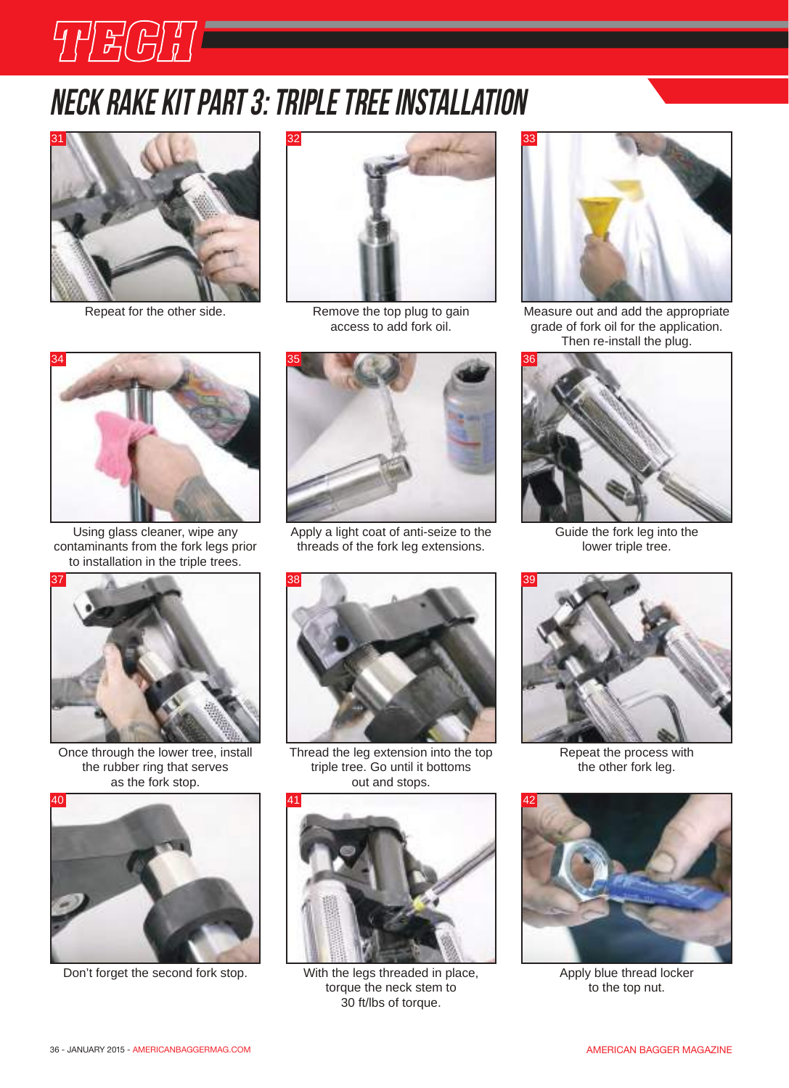# Neck rake kit part 3: triple tree installation



THEGH **SALE** 



Remove the top plug to gain access to add fork oil.



Using glass cleaner, wipe any contaminants from the fork legs prior to installation in the triple trees.



Once through the lower tree, install the rubber ring that serves as the fork stop.



Don't forget the second fork stop. With the legs threaded in place, Apply blue thread locker



Apply a light coat of anti-seize to the threads of the fork leg extensions.



Thread the leg extension into the top triple tree. Go until it bottoms out and stops.



With the legs threaded in place, torque the neck stem to 30 ft/lbs of torque.



Repeat for the other side. The Measure out and add the appropriate grade of fork oil for the application. Then re-install the plug.



Guide the fork leg into the lower triple tree.



Repeat the process with the other fork leg.



to the top nut.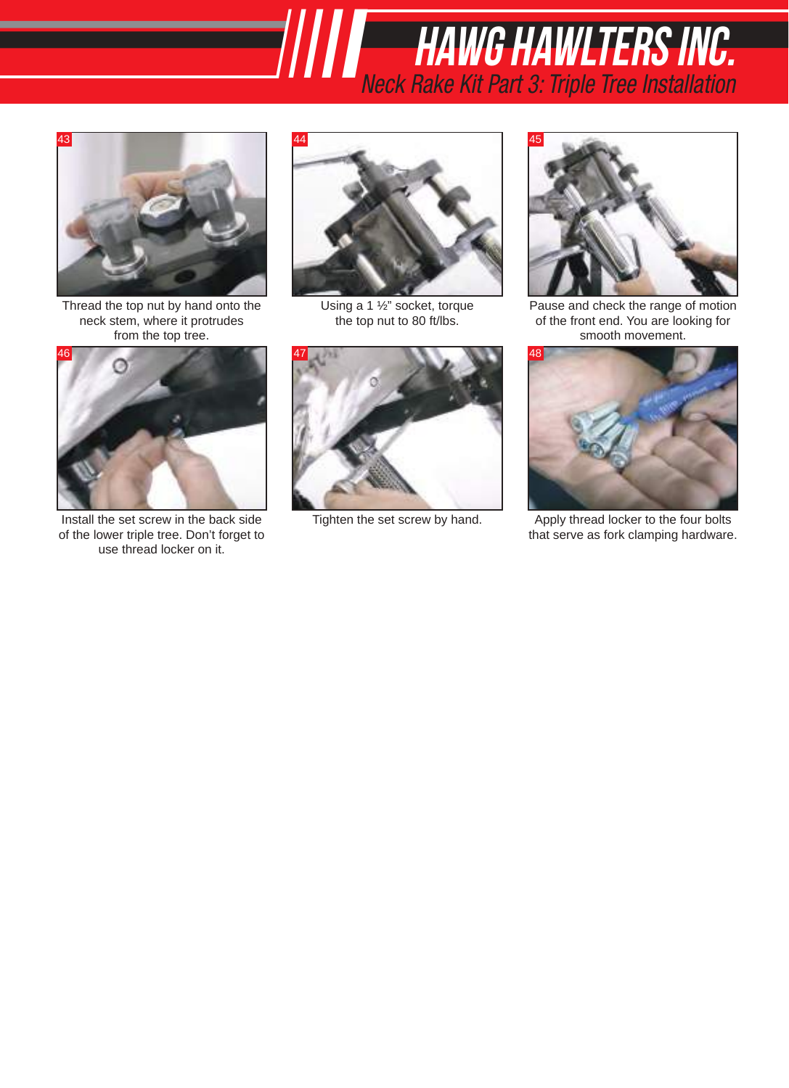Thread the top nut by hand onto the neck stem, where it protrudes from the top tree.



Install the set screw in the back side Tighten the set screw by hand. Installation of the lower triple tree. Don't forget to use thread locker on it.



*X-23 BOLT On Trees IIIII* hawg hawlters inc.

*neck rake Kit Part 3: Triple Tree Installation*

Using a 1 ½" socket, torque the top nut to 80 ft/lbs.





Pause and check the range of motion of the front end. You are looking for smooth movement.



Apply thread locker to the four bolts that serve as fork clamping hardware.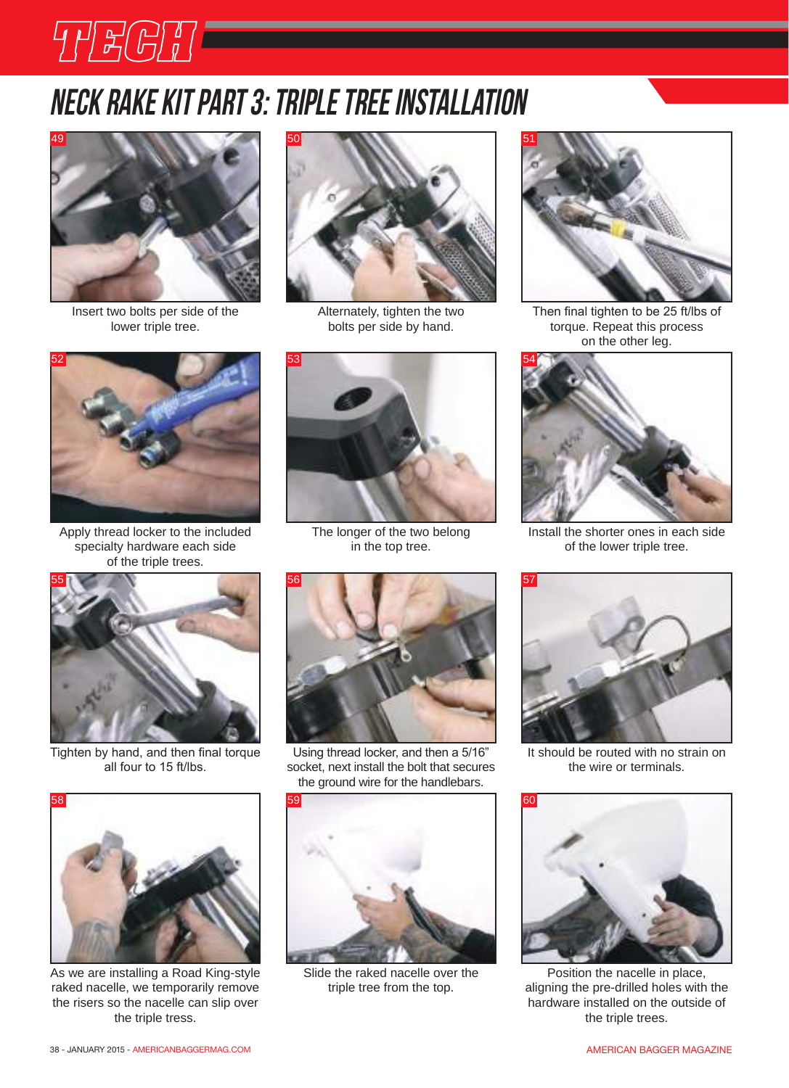

THEGT **FOR** 



Insert two bolts per side of the lower triple tree.



Alternately, tighten the two bolts per side by hand.



Then final tighten to be 25 ft/lbs of torque. Repeat this process on the other leg.



Install the shorter ones in each side of the lower triple tree.



It should be routed with no strain on the wire or terminals.



Position the nacelle in place, aligning the pre-drilled holes with the hardware installed on the outside of the triple trees.



Apply thread locker to the included specialty hardware each side of the triple trees.



Tighten by hand, and then final torque all four to 15 ft/lbs.



As we are installing a Road King-style raked nacelle, we temporarily remove the risers so the nacelle can slip over the triple tress.



The longer of the two belong in the top tree.

Using thread locker, and then a 5/16" socket, next install the bolt that secures the ground wire for the handlebars.



Slide the raked nacelle over the triple tree from the top.